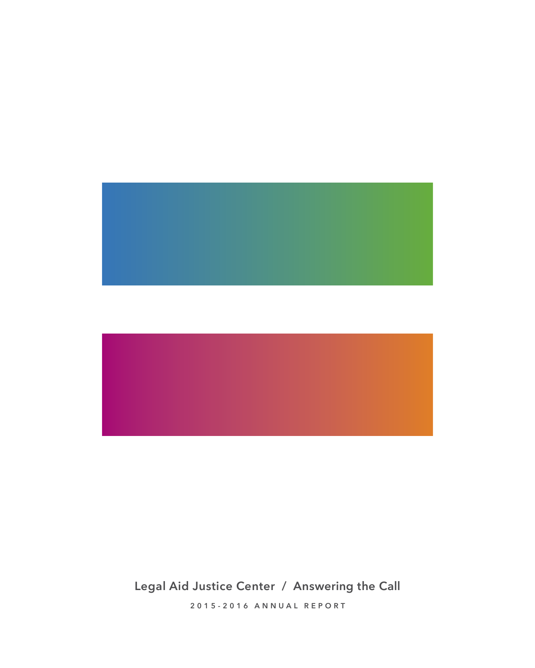



**Legal Aid Justice Center / Answering the Call**

**2015-2016 ANNUAL REPORT**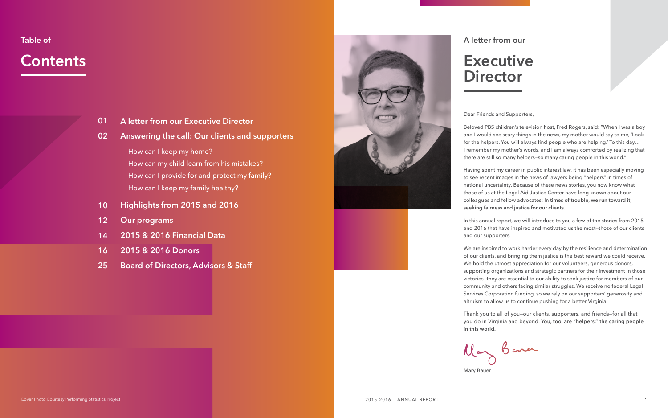Dear Friends and Supporters,

Beloved PBS children's television host, Fred Rogers, said: "When I was a boy and I would see scary things in the news, my mother would say to me, 'Look for the helpers. You will always find people who are helping.' To this day… I remember my mother's words, and I am always comforted by realizing that there are still so many helpers—so many caring people in this world."

Having spent my career in public interest law, it has been especially moving to see recent images in the news of lawyers being "helpers" in times of national uncertainty. Because of these news stories, you now know what those of us at the Legal Aid Justice Center have long known about our colleagues and fellow advocates: **In times of trouble, we run toward it, seeking fairness and justice for our clients.**

In this annual report, we will introduce to you a few of the stories from 2015 and 2016 that have inspired and motivated us the most—those of our clients and our supporters.

We are inspired to work harder every day by the resilience and determination of our clients, and bringing them justice is the best reward we could receive. We hold the utmost appreciation for our volunteers, generous donors, supporting organizations and strategic partners for their investment in those victories—they are essential to our ability to seek justice for members of our community and others facing similar struggles. We receive no federal Legal Services Corporation funding, so we rely on our supporters' generosity and altruism to allow us to continue pushing for a better Virginia.

Thank you to all of you—our clients, supporters, and friends—for all that you do in Virginia and beyond. **You, too, are "helpers," the caring people** 



**in this world.** 

May Bank

Mary Bauer



## **Executive Director**

### **Contents**

How can I keep my home? How can my child learn from his mistakes? How can I provide for and protect my family? How can I keep my family healthy?

- **A letter from our Executive Director 01**
- **Answering the call: Our clients and supporters 02**

- **Highlights from 2015 and 2016 10**
- **Our programs 12**
- **2015 & 2016 Financial Data 14**
- **2015 & 2016 Donors 16**
- **Board of Directors, Advisors & Staff 25**

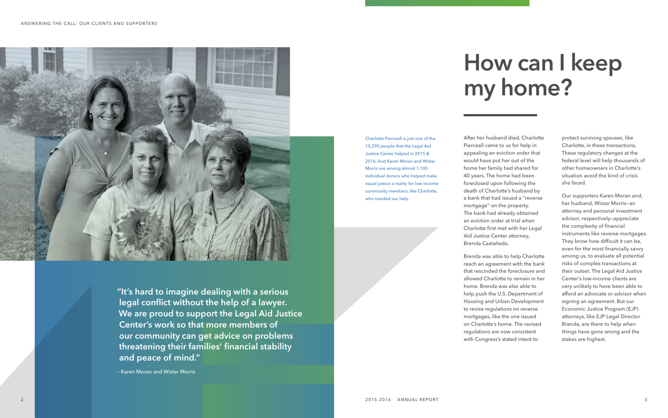After her husband died, Charlotte Pierceall came to us for help in appealing an eviction order that would have put her out of the home her family had shared for 40 years. The home had been foreclosed upon following the death of Charlotte's husband by a bank that had issued a "reverse mortgage" on the property. The bank had already obtained an eviction order at trial when Charlotte first met with her Legal Aid Justice Center attorney, Brenda Castañeda.

Brenda was able to help Charlotte reach an agreement with the bank that rescinded the foreclosure and allowed Charlotte to remain in her home. Brenda was also able to help push the U.S. Department of Housing and Urban Development to revise regulations on reverse mortgages, like the one issued on Charlotte's home. The revised regulations are now consistent with Congress's stated intent to

protect surviving spouses, like Charlotte, in these transactions. These regulatory changes at the federal level will help thousands of other homeowners in Charlotte's situation avoid the kind of crisis she faced.

Our supporters Karen Moran and, her husband, Wistar Morris—an attorney and personal investment advisor, respectively—appreciate the complexity of financial instruments like reverse mortgages. They know how difficult it can be, even for the most financially savvy among us, to evaluate all potential risks of complex transactions at their outset. The Legal Aid Justice Center's low-income clients are very unlikely to have been able to afford an advocate or advisor when signing an agreement. But our Economic Justice Program (EJP) attorneys, like EJP Legal Director Brenda, are there to help when things have gone wrong and the stakes are highest.

Charlotte Pierceall is just one of the 10,290 people that the Legal Aid Justice Center helped in 2015 & 2016. And Karen Moran and Wistar Morris are among almost 1,100 individual donors who helped make equal justice a reality for low-income community members, like Charlotte, who needed our help.

# **How can I keep my home?**



**"It's hard to imagine dealing with a serious legal conflict without the help of a lawyer. We are proud to support the Legal Aid Justice Center's work so that more members of our community can get advice on problems threatening their families' financial stability and peace of mind."** 

– Karen Moran and Wistar Morris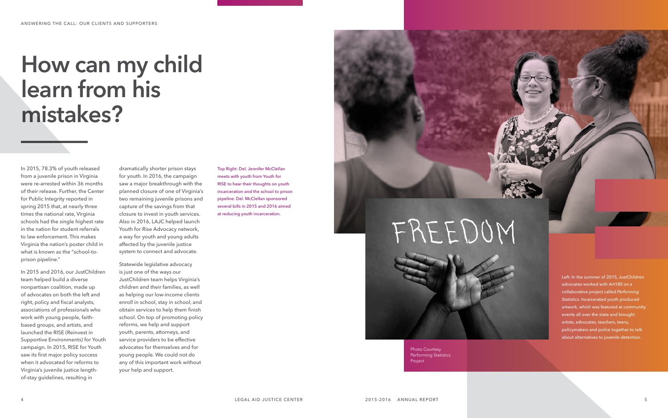In 2015, 78.3% of youth released from a juvenile prison in Virginia were re-arrested within 36 months of their release. Further, the Center for Public Integrity reported in spring 2015 that, at nearly three times the national rate, Virginia schools had the single highest rate in the nation for student referrals to law enforcement. This makes Virginia the nation's poster child in what is known as the "school-toprison pipeline."

In 2015 and 2016, our JustChildren team helped build a diverse nonpartisan coalition, made up of advocates on both the left and right, policy and fiscal analysts, associations of professionals who work with young people, faithbased groups, and artists, and launched the RISE (Reinvest in Supportive Environments) for Youth campaign. In 2015, RISE for Youth saw its first major policy success when it advocated for reforms to Virginia's juvenile justice lengthof-stay guidelines, resulting in

dramatically shorter prison stays for youth. In 2016, the campaign saw a major breakthrough with the planned closure of one of Virginia's two remaining juvenile prisons and capture of the savings from that closure to invest in youth services. Also in 2016, LAJC helped launch Youth for Rise Advocacy network, a way for youth and young adults affected by the juvenile justice system to connect and advocate.

Statewide legislative advocacy is just one of the ways our JustChildren team helps Virginia's children and their families, as well as helping our low-income clients enroll in school, stay in school, and obtain services to help them finish school. On top of promoting policy reforms, we help and support youth, parents, attorneys, and service providers to be effective advocates for themselves and for young people. We could not do any of this important work without your help and support.

Top Right: Del. Jennifer McClellan meets with youth from Youth for RISE to hear their thoughts on youth incarceration and the school to prison pipeline. Del. McClellan sponsored several bills in 2015 and 2016 aimed at reducing youth incarceration.



# **How can my child learn from his mistakes?**

Left: In the summer of 2015, JustChildren advocates worked with Art180 on a collaborative project called *Performing Statistics*. Incarcerated youth produced artwork, which was featured at community events all over the state and brought artists, advocates, teachers, teens, policymakers and police together to talk about alternatives to juvenile detention.

Photo Courtesy Performing Statistics Project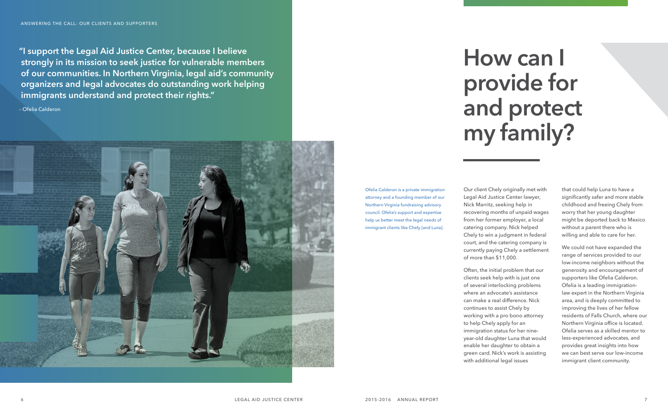Our client Chely originally met with Legal Aid Justice Center lawyer, Nick Marritz, seeking help in recovering months of unpaid wages from her former employer, a local catering company. Nick helped Chely to win a judgment in federal court, and the catering company is currently paying Chely a settlement of more than \$11,000.

Often, the initial problem that our clients seek help with is just one of several interlocking problems where an advocate's assistance can make a real difference. Nick continues to assist Chely by working with a pro bono attorney to help Chely apply for an immigration status for her nineyear-old daughter Luna that would enable her daughter to obtain a green card. Nick's work is assisting with additional legal issues

that could help Luna to have a significantly safer and more stable childhood and freeing Chely from worry that her young daughter might be deported back to Mexico without a parent there who is willing and able to care for her.

We could not have expanded the range of services provided to our low-income neighbors without the generosity and encouragement of supporters like Ofelia Calderon. Ofelia is a leading immigrationlaw expert in the Northern Virginia area, and is deeply committed to improving the lives of her fellow residents of Falls Church, where our Northern Virginia office is located. Ofelia serves as a skilled mentor to less-experienced advocates, and provides great insights into how we can best serve our low-income immigrant client community.

Ofelia Calderon is a private immigration attorney and a founding member of our Northern Virginia fundraising advisory council. Ofelia's support and expertise help us better meet the legal needs of immigrant clients like Chely [and Luna].

# **How can I provide for and protect my family?**

**"I support the Legal Aid Justice Center, because I believe strongly in its mission to seek justice for vulnerable members of our communities. In Northern Virginia, legal aid's community organizers and legal advocates do outstanding work helping immigrants understand and protect their rights."**

– Ofelia Calderon

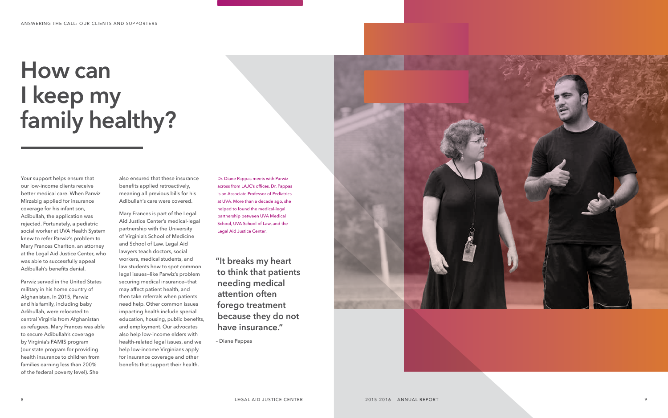Your support helps ensure that our low-income clients receive better medical care. When Parwiz Mirzabig applied for insurance coverage for his infant son, Adibullah, the application was rejected. Fortunately, a pediatric social worker at UVA Health System knew to refer Parwiz's problem to Mary Frances Charlton, an attorney at the Legal Aid Justice Center, who was able to successfully appeal Adibullah's benefits denial.

Parwiz served in the United States military in his home country of Afghanistan. In 2015, Parwiz and his family, including baby Adibullah, were relocated to central Virginia from Afghanistan as refugees. Mary Frances was able to secure Adibullah's coverage by Virginia's FAMIS program (our state program for providing health insurance to children from families earning less than 200% of the federal poverty level). She

also ensured that these insurance benefits applied retroactively, meaning all previous bills for his Adibullah's care were covered.

Mary Frances is part of the Legal Aid Justice Center's medical-legal partnership with the University of Virginia's School of Medicine and School of Law. Legal Aid lawyers teach doctors, social workers, medical students, and law students how to spot common legal issues—like Parwiz's problem securing medical insurance—that may affect patient health, and then take referrals when patients need help. Other common issues impacting health include special education, housing, public benefits, and employment. Our advocates also help low-income elders with health-related legal issues, and we help low-income Virginians apply for insurance coverage and other benefits that support their health.

# **How can I keep my family healthy?**

Dr. Diane Pappas meets with Parwiz across from LAJC's offices. Dr. Pappas is an Associate Professor of Pediatrics at UVA. More than a decade ago, she helped to found the medical-legal partnership between UVA Medical School, UVA School of Law, and the Legal Aid Justice Center.

### **"It breaks my heart to think that patients needing medical attention often forego treatment because they do not have insurance."**

– Diane Pappas

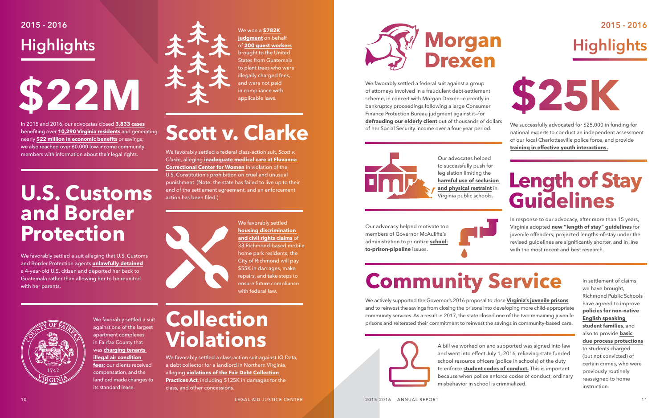In 2015 and 2016, our advocates closed **3,833 cases** benefiting over **10,290 Virginia residents** and generating nearly **\$22 million in economic benefits** or savings; we also reached over 60,000 low-income community members with information about their legal rights.



## **U.S. Customs and Border Protection**

# **Community Service**

## **Length of Stay Guidelines**

## **Collection Violations**

We won a **\$782K judgment** on behalf of **200 guest workers** brought to the United States from Guatemala to plant trees who were illegally charged fees, and were not paid in compliance with applicable laws.

> In settlement of claims we have brought, Richmond Public Schools have agreed to improve **policies for non-native English speaking student families**, and also to provide **basic due process protections** to students charged (but not convicted) of certain crimes, who were previously routinely reassigned to home instruction.

We favorably settled **housing discrimination and civil rights claims** of 33 Richmond-based mobile home park residents; the City of Richmond will pay \$55K in damages, make repairs, and take steps to ensure future compliance with federal law.



We favorably settled a federal suit against a group of attorneys involved in a fraudulent debt-settlement scheme, in concert with Morgan Drexen—currently in bankruptcy proceedings following a large Consumer Finance Protection Bureau judgment against it—for **defrauding our elderly client** out of thousands of dollars of her Social Security income over a four-year period.



A bill we worked on and supported was signed into law and went into effect July 1, 2016, relieving state funded school resource officers (police in schools) of the duty to enforce **student codes of conduct.** This is important because when police enforce codes of conduct, ordinary misbehavior in school is criminalized.



We favorably settled a class-action suit against IQ Data, a debt collector for a landlord in Northern Virginia, alleging **violations of the Fair Debt Collection Practices Act**, including \$125K in damages for the class, and other concessions.

We favorably settled a suit alleging that U.S. Customs and Border Protection agents **unlawfully detained** a 4-year-old U.S. citizen and deported her back to Guatemala rather than allowing her to be reunited with her parents.



We favorably settled a suit against one of the largest apartment complexes in Fairfax County that was **charging tenants illegal air condition fees**; our clients received compensation, and the landlord made changes to its standard lease.

Our advocacy helped motivate top members of Governor McAuliffe's administration to prioritize **schoolto-prison-pipeline** issues.





We actively supported the Governor's 2016 proposal to close **Virginia's juvenile prisons** and to reinvest the savings from closing the prisons into developing more child-appropriate community services. As a result in 2017, the state closed one of the two remaining juvenile prisons and reiterated their commitment to reinvest the savings in community-based care.



We successfully advocated for \$25,000 in funding for national experts to conduct an independent assessment of our local Charlottesville police force, and provide **training in effective youth interactions.**

In response to our advocacy, after more than 15 years, Virginia adopted **new "length of stay" guidelines** for juvenile offenders; projected lengths-of-stay under the revised guidelines are significantly shorter, and in line with the most recent and best research.

Our advocates helped to successfully push for legislation limiting the **harmful use of seclusion and physical restraint** in Virginia public schools.

# **Scott v. Clarke**

We favorably settled a federal class-action suit, *Scott v. Clarke*, alleging **inadequate medical care at Fluvanna Correctional Center for Women** in violation of the U.S. Constitution's prohibition on cruel and unusual punishment. (Note: the state has failed to live up to their end of the settlement agreement, and an enforcement action has been filed.)



10 LEGAL AID JUSTICE CENTER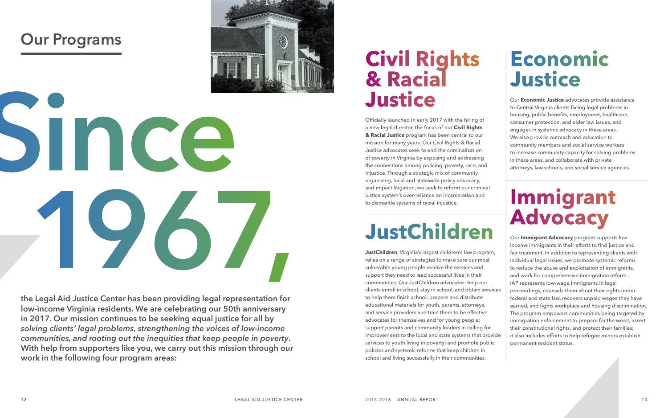**the Legal Aid Justice Center has been providing legal representation for low-income Virginia residents. We are celebrating our 50th anniversary in 2017. Our mission continues to be seeking equal justice for all by**  *solving clients' legal problems, strengthening the voices of low-income communities, and rooting out the inequities that keep people in poverty***. With help from supporters like you, we carry out this mission through our work in the following four program areas:**

## **Our Programs**



INCE 961

## **Civil Rights & Racial Justice**

Officially launched in early 2017 with the hiring of a new legal director, the focus of our **Civil Rights & Racial Justice** program has been central to our mission for many years. Our Civil Rights & Racial Justice advocates seek to end the criminalization of poverty in Virginia by exposing and addressing the connections among policing, poverty, race, and injustice. Through a strategic mix of community organizing, local and statewide policy advocacy, and impact litigation, we seek to reform our criminal justice system's over-reliance on incarceration and to dismantle systems of racial injustice.



**JustChildren**, Virginia's largest children's law program, relies on a range of strategies to make sure our most vulnerable young people receive the services and support they need to lead successful lives in their communities. Our JustChildren advocates: help our clients enroll in school, stay in school, and obtain services to help them finish school; prepare and distribute educational materials for youth, parents, attorneys, and service providers and train them to be effective advocates for themselves and for young people; support parents and community leaders in calling for improvements to the local and state systems that provide services to youth living in poverty; and promote public policies and systemic reforms that keep children in school and living successfully in their communities.

## **Economic Justice**

Our **Economic Justice** advocates provide assistance to Central Virginia clients facing legal problems in housing, public benefits, employment, healthcare, consumer protection, and elder law issues, and engages in systemic advocacy in these areas. We also provide outreach and education to community members and social service workers to increase community capacity for solving problems in these areas, and collaborate with private attorneys, law schools, and social service agencies.

## **Immigrant Advocacy**

Our **Immigrant Advocacy** program supports low income immigrants in their efforts to find justice and fair treatment. In addition to representing clients with individual legal issues, we promote systemic reforms to reduce the abuse and exploitation of immigrants, and work for comprehensive immigration reform. IAP represents low-wage immigrants in legal proceedings, counsels them about their rights under federal and state law, recovers unpaid wages they have earned, and fights workplace and housing discrimination. The program empowers communities being targeted by immigration enforcement to prepare for the worst, assert their constitutional rights, and protect their families; it also includes efforts to help refugee minors establish permanent resident status.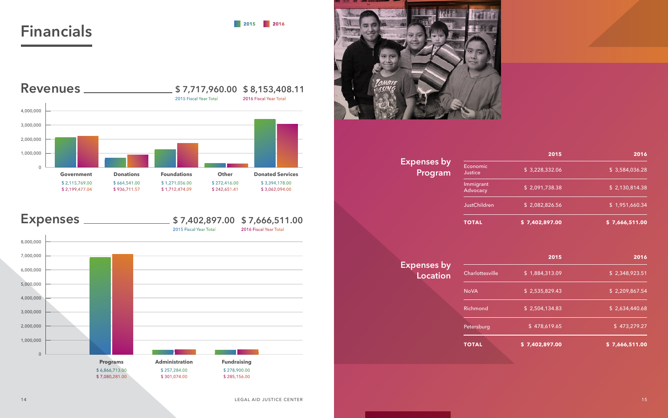| 2015           | 2016           |
|----------------|----------------|
| \$3,228,332.06 | \$3,584,036.28 |
| \$2,091,738.38 | \$2,130,814.38 |
| \$2,082,826.56 | \$1,951,660.34 |
| \$7,402,897.00 | \$7,666,511.00 |

| <b>Financials</b>                                                                                                               |                                                     |                                                                                  |                                                    | 2016<br>2015                                                                                                           |                                |                                                                              |
|---------------------------------------------------------------------------------------------------------------------------------|-----------------------------------------------------|----------------------------------------------------------------------------------|----------------------------------------------------|------------------------------------------------------------------------------------------------------------------------|--------------------------------|------------------------------------------------------------------------------|
| Revenues _________<br>4,000,000<br>3,000,000                                                                                    |                                                     | 2015 Fiscal Year Total                                                           |                                                    | \$7,717,960.00 \$8,153,408.11<br>2016 Fiscal Year Total                                                                |                                |                                                                              |
| 2,000,000<br>1,000,000<br>$\mathsf{O}\xspace$<br>Government<br>\$2,115,769.00<br>\$2,199,477.04<br><b>Expenses</b><br>8,000,000 | <b>Donations</b><br>\$664,541.00<br>\$936,711.57    | <b>Foundations</b><br>\$1,271,056.00<br>\$1,712,474.09<br>2015 Fiscal Year Total | Other<br>\$272,416.00<br>\$242,651.41              | <b>Donated Services</b><br>\$3,394,178.00<br>\$3,062,094.00<br>\$7,402,897.00 \$7,666,511.00<br>2016 Fiscal Year Total | <b>Expenses by</b><br>Program  | Economic<br>Justice<br>Immigrant<br>Advocacy<br>JustChildren<br><b>TOTAL</b> |
| 7,000,000<br>6,000,000<br>5,000,000<br>4,000,000<br>3,000,000<br>2,000,000<br>1,000,000<br>$\boldsymbol{0}$                     | <b>Programs</b><br>\$6,866,713.00<br>\$7,080,281.00 | Administration<br>\$257,284.00<br>\$301,074.00                                   | <b>Fundraising</b><br>\$278,900.00<br>\$285,156.00 |                                                                                                                        | <b>Expenses by</b><br>Location | Charlottesville<br><b>NoVA</b><br>Richmond<br>Petersburg<br><b>TOTAL</b>     |

| 2016           | 2015           |
|----------------|----------------|
| \$2,348,923.51 | \$1,884,313.09 |
| \$2,209,867.54 | \$2,535,829.43 |
| \$2,634,440.68 | \$2,504,134.83 |
| \$473,279.27   | \$478,619.65   |
| \$7,666,511.00 | \$7.402.897.00 |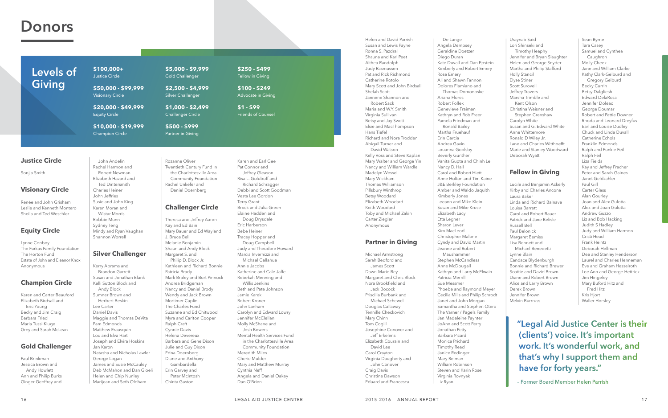Helen and David Parrish Susan and Lewis Payne Ronna S. Pazdral Shauna and Karl Peet Althea Randolph Judy Rasmussen Pat and Rick Richmond Catherine Rotolo Mary Scott and John Birdsall Shelah Scott Jannene Shannon and Robert Sack Maria and W.Y. Smith Virginia Sullivan Betsy and Jay Swett Elsie and MacThompson Hans Tiefel Richard and Nora Trodden Abigail Turner and David Watson Kelly Voss and Steve Kaplan Mary Walter and George Yin Nancy and William Wardle Madelyn Wessel Mary Wickham Thomas Williamson Pillsbury Winthrop Betsy Woodard Elizabeth Woodard Keith Woodard Toby and Michael Zakin Carter Ziegler Anonymous

### **Partner in Giving**

Michael Armstrong Sarah Bedford and James Scott Dawn-Marie Bey Margaret and Chris Block Nora Brookfield and Jack Bocock Priscilla Burbank and Michael Schewel Douglas Callaway Tennille Checkovich Mary Chinn Tom Cogill Josephine Conover and Jeff Erkelens Elizabeth Courain and David Lee Carol Crayton Virginia Daugherty and John Conover Craig Davis Christine Dawson Eduard and Francesca

De Lange

Angela Dempsey Geraldine Doetzer Diego Duran Kate Duvall and Dan Epstein Kimberly and Robert Emery Rose Emery Ali and Shawn Fannon Dolores Flamiano and Thomas Domonoske Ariana Flores Robert Follek Genevieve Fraiman Kathryn and Rob Freer Pamela Friedman and Ronald Bailey Martha Fruehauf Erin Garcia Andrea Gavin Louanna Goolsby Beverly Gunther Vanita Gupta and Chinh Le Nancy D. Hall Carol and Robert Hiett Anne Holton and Tim Kaine J&E Berkley Foundation Amber and Waldo Jaquith Kimberly Jones Leeann and Mike Klein Susan and Mike Kruse Elizabeth Lacy Etta Legner Sharon Lever Kim MacLeod Christopher Malone Cyndy and David Martin Jeanne and Robert Maushammer

Stephen McCandless Anne McDougall Kathryn and Larry McElwain Patricia Merrill Sue Messmer Phoebe and Raymond Meyer Cecilia Mills and Philip Schrodt Janet and John Morgan Samantha and Stephen Otero The Varner / Pagels Family Jan Madeleine Paynter JoAnn and Scott Perry Jonathan Petty Barbara Picard Monica Prichard Timothy Read Janice Redinger Mary Reiman William Robinson Steven and Karin Rose Virginia Rovnyak Liz Ryan

Uraynab Said Lori Shinseki and Timothy Heaphy Jennifer and Bryan Slaughter Helen and George Snyder Martha and Philip Stafford Holly Stancil Elyse Stiner Scott Surovell Jeffrey Travers Marsha Trimble and Kent Olson Christina Weisner and Stephen Crenshaw Carolyn White Susan and G. Edward White Anne Whittemore Ronald D Wiley Jr. Lane and Charles Witthoefft Marie and Stanley Woodward Deborah Wyatt

### **Fellow in Giving**

Lucile and Benjamin Ackerly Kirby and Charles Ancona Laura Baker Linda and Richard Balnave Louisa Barrett Carol and Robert Bauer Patrick and Jane Belisle Russell Bell Paul Belonick Margaret Bemiss Lisa Bennett and Michael Benedetti Lynne Blain Candace Blydenburgh Bonnie and Richard Brewer Scottie and David Brown Diane and Robert Brown Alice and Larry Brown Derek Brown Jennifer Brown Melvin Burrruss

Sean Byrne Tara Casey Samuel and Cynthea Caughron Molly Cheek Jane and William Clarke Kathy Clark-Gelburd and Gregory Gelburd Becky Currin Betsy Dalgliesh Edward DelaRosa Jennifer Doleac George Doumar Robert and Pattie Downer Rhoda and Leonard Dreyfus Earl and Louise Dudley Chuck and Linda Duvall Catherine Echols Franklin Edmonds Ralph and Punkie Feil Ralph Feil Liza Fields Kay and Jeffrey Fracher Peter and Sarah Gaines Janet Geldzahler Paul Gill Carter Glass Alan Gourley Joan and Alex Gulotta Alex and Joan Gulotta Andrew Guzzo Liz and Bob Hacking Judith S Hadley Judy and William Harmon Cristi Head Frank Heintz Deborah Hellman Dee and Stanley Henderson Laurel and Charles Henneman Eve and Graham Hesselroth Lee Ann and George Hettrick Jim Hingeley Mary Buford Hitz and Fred Hitz Kris Hjort Waller Horsley

### **Justice Circle**

### Sonjia Smith

### **Visionary Circle**

Renée and John Grisham Leslie and Kenneth Montero Sheila and Ted Weschler

### **Equity Circle**

Lynne Conboy The Farkas Family Foundation The Horton Fund Estate of John and Eleanor Knox Anonymous

### **Champion Circle**

Karen and Carter Beauford Elizabeth Birdsall and Eric Young Becky and Jim Craig Barbara Fried Maria Tussi Kluge Grey and Sarah McLean

### **Gold Challenger**

Paul Brinkman Jessica Brown and Andy Howlett Ann and Philip Burks Ginger Geoffrey and

John Andelin Rachel Harmon and Robert Newman Elizabeth Hazard and Ted Dintersmith Charles Heiner John Jeffries Susie and John King Karen Moran and Wistar Morris Robbie Munn Sydney Teng Mindy and Ryan Vaughan Shannon Worrell

#### **Silver Challenger**

Kerry Abrams and Brandon Garrett Susan and Jonathan Blank Kelli Sutton Block and Andy Block Sumner Brown and Herbert Beskin Lee Carter Daniel Davis Maggie and Thomas DeVita Pam Edmonds Matthew Erausquin Lou and Elva Hart Joseph and Elvira Hoskins Jan Karon Natasha and Nicholas Lawler George Logan James and Susie McCauley Deb McMahon and Dan Gioeli Helen and Chip Nunley Marijean and Seth Oldham

Rozanne Oliver Twentieth Century Fund in the Charlottesville Area Community Foundation Rachel Unkefer and Daniel Doernberg

### **Challenger Circle**

Theresa and Jeffrey Aaron Kay and Ed Bain Mary Bauer and Ed Wayland J. Bruce Bell Melanie Benjamin Shaun and Andy Block Margaret S. and Philip D. Block Jr. Kathleen and Richard Bonnie Patricia Brady Mark Braley and Burt Pinnock Andrea Bridgeman Nancy and Daniel Brody Wendy and Jack Brown Mortimer Caplin The Charles Fund Suzanne and Ed Chitwood Myra and Carlton Cooper Ralph Craft Cynnie Davis Helena Devereux Barbara and Gene Dixon Julie and Guy Dixon Edna Doernberg Diane and Anthony Gambardella Erin Garvey and Peter McIntosh Chinta Gaston

Karen and Earl Gee Pat Connor and Jeffrey Gleason Risa L. Goluboff and Richard Schragger Debbi and Scott Goodman Vesta Lee Gordon Terry Grant Brock and Julia Green Elaine Hadden and Doug Drysdale Eric Harberson Bebe Heiner Tracey Hopper and Doug Campbell Judy and Theodore Howard Marcia Invernizzi and Michael Gallahue Annie Jacobs Katherine and Cale Jaffe Rebekah Menning and Willis Jenkins Beth and Pete Johnson Jamie Karek Robert Kroner John Lanham Carolyn and Edward Lowry Jennifer McClellan Molly McShane and Josh Bowers Mental Health Services Fund in the Charlottesville Area Community Foundation Meredith Miles Cherie Mulder Mary and Matthew Murray Cynthia Neff Angela and Daniel Oakey Dan O'Brien

### **Levels of Giving**

**\$100,000+** Justice Circle

**\$50,000 - \$99,999** Visionary Circle **\$20,000 - \$49,999** 

Equity Circle

**\$10,000 - \$19,999**  Champion Circle

**\$5,000 - \$9,999**  Gold Challenger **\$2,500 - \$4,999** 

> Silver Challenger **\$1,000 - \$2,499**

Challenger Circle

**\$500 - \$999** Partner in Giving

**\$250 - \$499** Fellow in Giving

**\$100 - \$249** Advocate in Giving

**\$1 - \$99** Friends of Counsel

## **Donors**

**"Legal Aid Justice Center is their (clients') voice. It's important work. It's wonderful work, and that's why I support them and have for forty years."** 

– Former Board Member Helen Parrish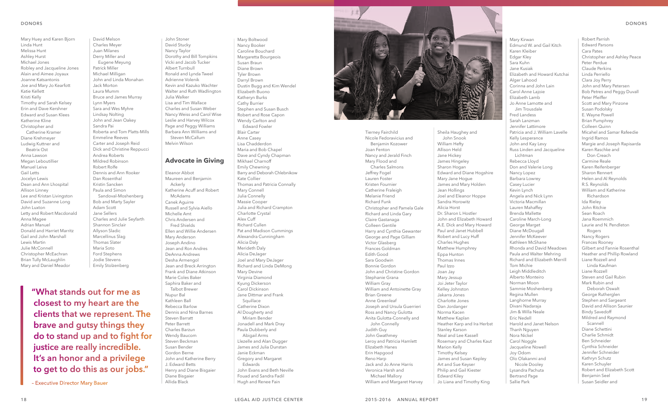Tierney Fairchild Nicole Fedoravicius and Benjamin Kozower Joan Fenton Nancy and Jerald Finch Mary Flood and Charles Salmons Jeffrey Fogel Lauren Foster Kristen Fournier Catherine Fraleigh Melanie Friend Richard Funk Christopher and Pamela Gale Richard and Linda Gary Claire Gastanaga Colleen Gentile Harry and Cynthia Gewanter George and Page Gilliam Victor Glasberg Frances Goldman Edith Good Sara Goodwin Bonnie Gordon John and Christine Gordon Stephanie Grana William Gray William and Antoinette Gray Brian Greene Anne Greenleaf Joseph and Ursula Guerrieri Ross and Nancy Gulotta Anita Gulotta-Connelly and John Connelly Judith Guy John Gwathmey Leroy and Patricia Hamlett Elizabeth Hanes Erin Hapgood Reno Harp Jack and Jo Anne Harris Veronica Harsh and Michael Mallory William and Margaret Harvey

Sheila Haughey and John Snook William Hefty Allison Held Jane Hickey James Hingeley Sharon Hogan Edward and Diane Hogshire Mary Jane Hogue James and Mary Holden Jean Hollings Joel and Eleanor Hoppe Sandra Horowitz Alicia Horst Dr. Sharon L Hostler John and Elizabeth Howard A.E. Dick and Mary Howard Paul and Janet Hubbell Robert and Lucy Huff Charles Hughes Matthew Humphrey Eppa Hunton Thomas Innes Paul Izzo Joan Jay Mary Jessup Joi Jeter Taylor Kelley Johnston Jakarra Jones Charlotte Jones Dan Jordanger Norma Kacen Matthew Kaplan Heather Karp and Ira Herbst Stanley Karson Neal and Lee Kassell Rosemary and Charles Kaut Marion Kelly Timothy Kelsey James and Susan Kepley Art and Sue Keyser Philip and Gail Kiester Edward Kiley Jo Liana and Timothy King

Mary Kirwan Edmund W. and Gail Kitch Karen Kleiber Edgar Kley Sara Kuhn Jane Kusiak Elizabeth and Howard Kutchai Alger Lahood Corinna and John Lain Carol Anne Lajoie Elizabeth Lamb Jo Anne Lamotte and Jim Trousdale Fred Landess Sarah Lanzman Jennifer Lattimore Patricia and J. William Lavelle Kelly Lesperance John and Kay Levy Russ Linden and Jacqueline Lichtman Rebecca Lloyd Don and Valerie Long Nancy Lopez Barbara Lowrey Casey Lucier Kevin Lynch Angela and Nick Lynn Victoria Macmillan Lauren Mahaffey Brenda Mallette Caroline March-Long George Marget Diane McDougall Jennifer McKeever Kathleen McShane Rhonda and David Meadows Paula and Walter Mehring Richard and Elizabeth Merrill Leigh Middleditch Alberto Monteiro Norman Moon Sammie Moshenberg Regina Mullen Langhorne Murray Divani Nadaraja Jim & Willa Neale Harold and Janet Nelson Thanh Nguyen Carol Noggle Jacqueline Nowell Olo Olakanmi and Nicole Dooley Lysandra Pachuta Bertrand Page

Robert Parrish Edward Parsons Cara Pates Christopher and Ashley Peace Peter Perdue Claude Perkins Linda Perriello Clara Joy Perry John and Mary Petersen Bob Petres and Peggy Duvall Peter Pfeiffer Scott and Mary Pinzone Susan Podolsky E. Wayne Powell Brian Pumphrey Colleen Quinn Micahel and Samar Rafeedie Ingrid Ramos Margie and Joseph Rapisarda Karen Raschke and Don Creach Carmine Reale Karen Reifenberger Sharon Rennert Helen and Al Reynolds R.S. Reynolds William and Katherine Richardson Ida Rieley John Ritchie Sean Roach Jana Roemmich Laurie and N. Pendleton Rogers Nancy Rogers Frances Rooney Gilbert and Fannie Rosenthal Heather and Phillip Rowland Liane Rozzell and Linda Kaufman Liane Rozzell Steven and Gail Rubin Mark Rubin and Deborah Oswalt George Rutherglen Stephen and Sargeant David and Allison Saunier Bindy Savedoff Mildred and Raymond Scannell Diane Schettini Charlie Schmidt Ben Schneider Cynthia Schneider Jennifer Schneider Kathryn Schutz Karen Schuyler Robert and Elizabeth Scott Benjamin Seel Susan Seidler and

Mary Huey and Karen Bjorn Linda Hunt Melissa Hunt Ashley Hurst Michael Jones Robley and Jacqueline Jones Alain and Aimee Joyaux Joanne Katsantonis Joe and Mary Jo Kearfott Katie Kellett Kristi Kelly Timothy and Sarah Kelsey Erin and Dave Kershner Edward and Susan Klees Katherine Kline Christopher and Catherine Kramer Diane Krehmeyer Ludwig Kuttner and Beatrix Ost Anna Lawson Megan Leboutillier Manuel Leiva Gail Letts Jocelyn Lewis Dean and Ann Lhospital Allison Linney Lee and Kristan Livingston David and Suzanne Long John Luxton Letty and Robert Macdonald Anna Magee Adrian Manuel Donald and Harriet Marritz Gail and John Marshall Lewis Martin Julie McConnell Christopher McEachran Brian Tully McLaughlin Mary and Daniel Meador

David Melson Charles Meyer Juan Milanes Derry Miller and Eugene Meyung Patrick Miller Michael Milligan John and Linda Monahan Jack Morton Laura Mumm Bruce and James Murray Lynn Myers Sara and Wes Myhre Lindsay Nolting John and Jean Oakey Sandra Pai Roberta and Tom Platts-Mills Emmeline Reeves Carter and Joseph Reid Dick and Christine Reppucci Andrea Roberts Mildred Robinson Robert Rolfe Dennis and Ann Rooker Dan Rosenthal Kristin Sancken Paula and Simon Sandoval-Moshenberg Bob and Marty Sayler Adam Scott Jane Sellers Charles and Julie Seyfarth Shannon Sinclair Allyson Sladic Marcellinus Slag Thomas Slater Maria Soto Ford Stephens Jodie Stevens Emily Stolzenberg

John Stoner David Stucky Nancy Taylor Dorothy and Bill Tompkins Vicki and Jacob Tucker Albert Turnbull Ronald and Lynda Tweel Adrienne Volenik Kevin and Kazuko Wachter Walter and Ruth Wadlington Julia Walker Lisa and Tim Wallace Charles and Susan Weber Nancy Weiss and Carol Wise Leslie and Harvey Wilcox Page and Peggy Williams Barbara Ann Williams and Steven McCallum

Melvin Wilson

#### **Advocate in Giving**

Eleanor Abbot Maureen and Benjamin Ackerly Katherine Acuff and Robert McAdams Canek Aguirre Russell and Sylvia Aiello Michelle Amt Chris Andersen and Fred Shields Ellen and Willie Andersen Mary Anderson Joseph Andino Jean and Ron Andres DeAnna Andrews Desha Armengol Jean and Breck Arrington Frank and Diane Atkinson Marie Coles Baker Saphira Baker and Talbot Brewer Nupur Bal Kathleen Ball Rebecca Barlow Dennis and Nina Barnes Steven Barratt Peter Barrett Charles Barzun Wendy Baucom Steven Beckman Susan Bender Gordon Berne John and Katherine Berry J. Edward Betts Henry and Diane Bisgaier Diane Bisgaier Allida Black

Mary Boltwood Nancy Booker Caroline Bouchard Margaretta Bourgeois Susan Braun Diane Brown Tyler Brown Darryl Brown Dustin Bugg and Kim Wendel Elizabeth Buono Katheryn Burks Cathy Burrier Stephen and Susan Busch Robert and Rose Capon Wendy Carlton and Edward Fowler Blair Carter Anne Casey Lisa Chadderdon Maria and Bob Chapel Dave and Cyndy Chapman Mikhael Charnoff Emily Chewning Barry and Deborah Chlebnikow Kate Collier Thomas and Patricia Connally Mary Connell Julia Connelly Massie Cooper Julia and Richard Crampton Charlotte Crystal Alex Cuff Richard Cullen Pat and Madison Cummings Alexandra Cunningham Alicia Daly Merideth Daly Alicia DeJager Joel and Mary DeJager Richard and Linda DeMong Mary Devine Virginia Diamond Kyung Dickerson Carol Dickinson Jane Dittmar and Frank Squillace Catherine Dixon Al Dougherty and Miriam Bender Jonadell and Mark Dray Paula Dubberly and Abigail Arms Llezelle and Alan Dugger James and Julia Dunstan Janie Eckman Gregory and Margaret Edwards John Evans and Beth Neville Fouad and Sandra Fadil Hugh and Renee Fain



**"What stands out for me as closest to my heart are the clients that we represent. The brave and gutsy things they do to stand up and to fight for justice are really incredible. It's an honor and a privilege to get to do this as our jobs."**

– Executive Director Mary Bauer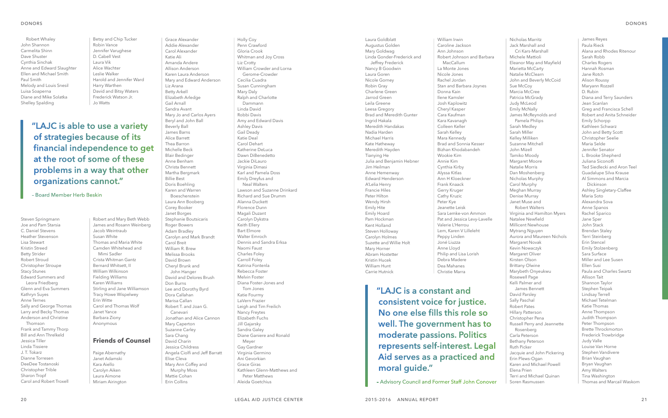Laura Goldblatt Augustus Golden Mary Goldwag Linda Gonder-Frederick and Jeffrey Frederick Nancy B Goodwin Laura Goren Nicole Gorney Robin Gray Charlene Green Jarrod Green Leila Greene Leesa Gregory Brad and Meredith Gunter Ingrid Hakala Meredith Handakas Nadia Harden Michael Harris Kate Hatheway Meredith Hayden Tianying He Julia and Benjamin Hebner Jim Heilman Anne Hemenway Edward Henderson A'Lelia Henry Francie Hiles Peter Hilton Wendy Hirsh Emily Hite Emily Hoard Pam Hockman Kent Holland Steven Holloway Carolyn Holmes Suzette and Willie Holt Mary Horner Abram Hostetter Kristin Hucek William Hunt Carrie Hutnick

William Irwin Caroline Jackson Ann Johnson Robert Johnson and Barbara MacCallum La Monte Jones Nicole Jones Rachel Jordan Stan and Barbara Joynes Donna Kain Ilene Kamsler Josh Kaplowitz Cheryl Kasper Cara Kaufman Kara Kavanagh Colleen Keller Sarah Kelley Mara Kennedy Brad and Sonnia Kesser Bizhan Khodabandeh Wookie Kim Annie Kim Cynthia Kirby Alyssa Kitlas Ann H Kloeckner Frank Knaack Gerry Kruger Cathy Kruzic Peter Kye Jeanette Leisk Sara Lemke-von Ammon Pat and Jessica Levy-Lavelle Valerie L'Herrou Lem, Karen V Lilleleht Peppy Linden Joné Liuzza Anne Lloyd Philip and Lisa Lorish Debra Madere Dea Mahanes Christie Marra

Nicholas Marritz Jack Marshall and Cri Kars-Marshall Michele Mattioli Eleanor May and Mayfield Marietta McCarty Natalie McClearn John and Beverly McCoid Marcia McCree Patricia McGrady Judy McLeod Emily McNally James McReynolds and Pamela Philips Sarah Medley Kelley Milliken Suzanne Mitchell Tamiko Moody Margaret Moore Natalie Morris Dan Moshenberg Nicholas Murphy Carol Murphy Meghan Murray Denise Murray Janet Muse and Robert Walters Virginia and Hamilton Myers Natalee Newfield Millicent Newhouse Mytrang Nguyen Aurora and Maureen Nichols Margaret Novak Kevin Nowaczyk Margaret Oliver Kirsten Olson Brittany Olwine Marybeth Onyeukwu Rosewell Page Kelli Palmer and James Bennett David Parsley Sally Paschal Robert Pates Hillary Patterson Christopher Pena Russell Perry and Jeannette Rosenberg Carla Peterson Bethany Peterson Jacquie and John Pickering Erin Plews-Ogan Karen and Michael Powell Terri and Michael Quinan Soren Rasmussen

James Reyes Paula Rieck Alana and Rhodes Ritenour Sarah Robb Charles Rogers Hannah Rosman Jane Rotch Alison Roussy Maryann Rozzell D. Rubin Diana and Terry Saunders Jean Scanlan Greg and Francisca Schell Robert and Anita Schneider Emily Schorpp Kathleen Schwarz John and Betty Scott Christopher Seelie Maria Selde Jennifer Senator L. Brooke Shepherd Juliana Siconolfi Ted Siedlecki and Aron Teel Guadalupe Silva Krause Al Simmons and Marcia Dickinson Ashley Singletary-Claffee Maria Soto Alexandra Sova Anne Spanos Rachel Sparico Jane Sper John Stack Brendan Staley Terri Steinberg Erin Stencel Emily Stolzenberg Sara Surface Miller and Lee Susen Ellen Susi Paula and Charles Swartz Allison Tait Shannon Taylor Stephen Teipak Lindsay Terrell Michael Tetelman Katie Thomas Anne Thompson Judith Thompson Peter Thompson Brette Throckmorton Frederick Trowbridge Judy Valle Louise Van Horne Stephen Vandivere Brian Vaughan Bryan Vaughan Amy Walters Tina Washington Thomas and Marcail Waskom

Robert Whaley John Shannon Carmelita Shinn Dave Shuster Cynthia Sinchak Anne and Edward Slaughter Ellen and Michael Smith Paul Smith Melody and Louis Snesil Luisa Soaperna Diane and Mike Solatka Shelley Spalding

Steven Springmann Joe and Pam Starsia C. Daniel Stevens Heather Stevenson Lisa Stewart Kristin Streed Betty Strider Robert Stroud Christopher Stroupe Stacy Stunes Edward Summers and Leora Friedberg Glenn and Eva Summers Kathryn Suyes Anne Ternes Sally and George Thomas Larry and Becky Thomas Anderson and Christine Thomson Frank and Tammy Thorp Bill and Ann Threlkeld Jessica Tiller Linda Tissiere J. T. Tokarz Dianne Torresen DeeDee Tostanoski Christopher Trible Sharon Tropf Carol and Robert Troxell

Betsy and Chip Tucker Robin Vance Jennifer Varughese D. Cabell Vest Laura Vik Alice Wachter Leslie Walker Harold and Jennifer Ward Harry Warthen David and Bitsy Waters Frederick Watson Jr. Jo Watts

Robert and Mary Beth Webb James and Rosann Weinberg Jacob Weintraub Susan White Thomas and Maria White Camden Whitehead and Mimi Sadler Crista Whitman Gantz Bernard Whitsett, II William Wilkinson Fielding Williams Karen Williams Stirling and Jane Williamson Tracy Howe Wispelwey Erin Witte Carol and Thomas Wolf Janet Yance Barbara Ziony Anonymous

#### **Friends of Counsel**

Paige Abernathy Janet Adamski Kara Aiello Carolyn Aiken Laura Aimone Miriam Airington Grace Alexander Addie Alexander Carol Alexander Katie Ali Amanda Andere Allison Anderson Karen Laura Anderson Mary and Edward Anderson Liz Arana Betty Arkell Elizabeth Arledge Gail Arnall Sandra Avant Mary Jo and Carlos Ayers Beryl and John Ball Beverly Ball James Barns Alice Barrett Thea Barron Michelle Beck Blair Bedinger Anne Benham Christa Bennett Martha Bergmark Billie Best Doris Boehling Karen and Warren Boeschenstein Laura Ann Booberg Corey Booker Janet Borges Stephanie Boutsicaris Roger Bowers Adam Bradley Carolyn and Mark Brandt Carol Breit William R. Brew Melissa Brooks David Brown Cheryl Brunk and John Hanger David and Delores Brush Don Burns Lee and Dorothy Byrd Dora Callahan Marisa Callan Robert T. and Joan G. Canevari Jonathan and Alice Cannon Mary Caperton Suzanne Carley Sara Chang David Charin Jessica Childress Angela Ciolfi and Jeff Barratt Elise Cleva Mary Ann Coffey and Murphy Moss Mattie Cohan Erin Collins

Holly Coy Penn Crawford Gloria Crook Whitman and Joy Cross Liz Crotty William Crowder and Lorna Gerome-Crowder Cecilia Cuadra Susan Cunningham Mary Daly Ralph and Charlotte Dammann Linda David Robbi Davis Amy and Edward Davis Ashley Davis Gail Deady Katie Deal Carol Dehart Katherine DeLuca Dawn DiBenedetto Jackie DiLauro Virginia Dimasi Karl and Pamela Doss Emily Dreyfus and Neal Walters Lawson and Suzanne Drinkard Richard and Sue Drumm Alanna Duckett Florence Dunn Magali Duzant Carolyn Dykstra Keith Ellery Bart Elmore Walter Emroch Dennis and Sandra Erksa Naomi Faust Charles Foley Carroll Foley Katrina Fontenla Rebecca Foster Melvin Foster Diana Foster-Jones and Tom Jones Katie Fourmy LaVern Frazier Leigh and Tim Freilich Nancy Freytes Elizabeth Fuchs Jill Gajarsky Sandra Galey Diane Ganiere and Ronald Meyer Gay Gardner Virginia Germino Ani Gevorkian Grace Giras Kathleen Glenn-Matthews and Peter Matthews Aleida Goetchius

**"LAJC is able to use a variety of strategies because of its financial independence to get at the root of some of these problems in a way that other organizations cannot."**

– Board Member Herb Beskin

**"LAJC is a constant and consistent voice for justice. No one else fills this role so well. The government has to moderate passions. Politics represents self-interest. Legal Aid serves as a practiced and moral guide."** 

– Advisory Council and Former Staff John Conover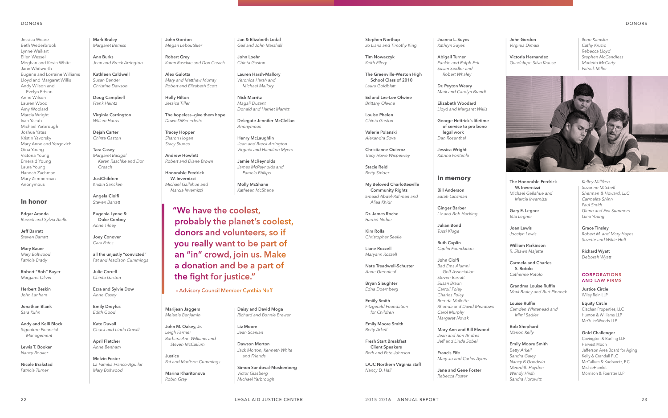Jessica Weare Beth Wederbrook Lynne Weikart Ellen Wessel Meghan and Kevin White Jane Whitworth Eugene and Lorraine Williams Lloyd and Margaret Willis Andy Wilson and Evelyn Edson Anne Wilson Lauren Wood Amy Woolard Marcia Wright Ivan Yacub Michael Yarbrough Joshua Yates Kristin Yavorsky Mary Anne and Yergovich Gina Young Victoria Young Emerald Young Laura Young Hannah Zachman Mary Zimmerman Anonymous

#### **In honor**

**Edgar Aranda** *Russell and Sylvia Aiello*

**Jeff Barratt** *Steven Barratt*

**Mary Bauer** *Mary Boltwood Patricia Brady*

**Robert "Bob" Bayer** *Margaret Oliver*

**Herbert Beskin** *John Lanham*

**Jonathan Blank** *Sara Kuhn*

**Andy and Kelli Block** *Signature Financial Management*

**Lewis T. Booker** *Nancy Booker*

**Nicole Brakstad** *Patricia Turner*

**Mark Braley** *Margaret Bemiss*

**Ann Burks** *Jean and Breck Arrington*

**Kathleen Caldwell** *Susan Bender Christine Dawson*

**Doug Campbell** *Frank Heintz*

**Virginia Carrington** *Wlliam Harris*

**Dejah Carter** *Chinta Gaston*

**Tara Casey** *Margaret Bacigal Karen Raschke and Don Creach*

**JustChildren** *Kristin Sancken*

**Angela Ciolfi** *Steven Barratt*

**Eugenia Lynne & Duke Conboy** *Anne Tilney*

**Joey Conover** *Cara Pates*

**all the unjustly "convicted"** *Pat and Madison Cummings*

**Julie Correll** *Chinta Gaston*

**Ezra and Sylvie Dow** *Anne Casey*

**Emily Dreyfus** *Edith Good*

**Kate Duvall** *Chuck and Linda Duvall*

**April Fletcher** *Anne Benham* **Melvin Foster**

*La Familia Franco-Aguilar Mary Boltwood*

**John Gordon** *Megan Leboutillier*

**Robert Grey** *Karen Raschke and Don Creach*

**Alex Gulotta** *Mary and Matthew Murray Robert and Elizabeth Scott*

**Holly Hilton** *Jessica Tiller*

**The hopeless—give them hope** *Dawn DiBenedetto*

**Tracey Hopper** *Sharon Hogan*

*Stacy Stunes* **Andrew Howlett** *Robert and Diane Brown*

**Honorable Fredrick W. Invernizzi**

*Michael Gallahue and Marcia Invernizzi*

**Marijean Jaggers** *Melanie Benjamin*

**John M. Oakey, Jr.** *Leigh Farmer Barbara Ann Williams and Steven McCallum*

**Justice** *Pat and Madison Cummings*

**Marina Kharitonova** *Robin Gray*

**Jan & Elizabeth Lodal** *Gail and John Marshall*

**John Loehr** *Chinta Gaston*

**Lauren Harsh-Mallory** *Veronica Harsh and Michael Mallory*

**Nick Marritz** *Magali Duzant Donald and Harriet Marritz*

**Delegate Jennifer McClellan** *Anonymous*

**Henry McLaughlin** *Jean and Breck Arrington Virginia and Hamilton Myers*

**Jamie McReynolds** *James McReynolds and Pamela Philips*

**Molly McShane** *Kathleen McShane*

**Daisy and David Moga** *Richard and Bonnie Brewer*

**Liz Moore** *Jean Scanlan*

**Dawson Morton** *Jack Morton, Kenneth White and Friends*

**Simon Sandoval-Moshenberg** *Victor Glasberg Michael Yarbrough*

#### DONORS

**Stephen Northup** *Jo Liana and Timothy King*

**Tim Nowaczyk** *Keith Ellery*

**The Greenville-Weston High School Class of 2010** *Laura Goldblatt*

**Ed and Lee-Lee Olwine** *Brittany Olwine*

**Louise Phelen** *Chinta Gaston*

**Valerie Polanski** *Alexandra Sova*

**Christianne Quieroz** *Tracy Howe Wispelwey*

**Stacie Reid** *Betty Strider*

**My Beloved Charlottesville Community Rights** *Emaad Abdel-Rahman and Aliaa Khidr*

**Dr. James Roche** *Harriet Noble*

**Kim Rolla** *Christopher Seelie*

**Liane Rozzell** *Maryann Rozzell*

**Nate Treadwell-Schuster** *Anne Greenleaf*

**Bryan Slaughter** *Edna Doernberg*

**Emiily Smith** *Fitzgerald Foundation for Children*

**Emily Moore Smith** *Betty Arkell*

**Fresh Start Breakfast Client Speakers** *Beth and Pete Johnson*

**LAJC Northern Virginia staff** *Nancy D. Hall*

**Joanna L. Suyes** *Kathryn Suyes*

**Abigail Turner** *Punkie and Ralph Feil Susan Seidler and Robert Whaley*

**Dr. Peyton Weary** *Mark and Carolyn Brandt*

**Elizabeth Woodard** *Lloyd and Margaret Willis*

**George Hettrick's lifetime of service to pro bono legal work** *Dan Rosenthal*

**Jessica Wright** *Katrina Fontenla*

#### **In memory**

**Bill Anderson** *Sarah Lanzman*

**Ginger Barber** *Liz and Bob Hacking*

**Julian Bond** *Tussi Kluge*

**Ruth Caplin** *Caplin Foundation*

**John Ciolfi**

*Bad Ems Alumni Golf Association Steven Barratt*

*Susan Braun Carroll Foley Charles Foley*

*Brenda Mallette Rhonda and David Meadows Carol Murphy Margaret Novak*

**Mary Ann and Bill Elwood** *Jean and Ron Andres Jeff and Linda Sobel*

**Francis Fife**

*Mary Jo and Carlos Ayers*

**Jane and Gene Foster** *Rebecca Foster*

**John Gordon** *Virginia Dimasi*

**Victoria Hernandez** *Guadalupe Silva Krause*

**The Honorable Fredrick W. Invernizzi** *Michael Gallahue and Marcia Invernizzi*

**Gary E. Legner** *Etta Legner*

**Joan Lewis** *Jocelyn Lewis*

**William Parkinson** *R. Shawn Majette*

**Carmela and Charles S. Rotolo** *Catherine Rotolo*

**Grandma Louise Ruffin** *Mark Braley and Burt Pinnock*

**Louise Ruffin** *Camden Whitehead and Mimi Sadler*

**Bob Shephard** *Marion Kelly*

**Emily Moore Smith**

*Betty Arkell*

*Sandra Galey Nancy B Goodwin Meredith Hayden Wendy Hirsh Sandra Horowitz*

*Ilene Kamsler Cathy Kruzic Rebecca Lloyd Stephen McCandless Marietta McCarty Patrick Miller*



*Kelley Milliken Suzanne Mitchell Sherman & Howard, LLC Carmelita Shinn Paul Smith Glenn and Eva Summers Gina Young*

**Grace Tinsley** *Robert M. and Mary Hayes Suzette and Willie Holt*

**Richard Wyatt** *Deborah Wyatt*

#### **CORPORATIONS AND LAW FIRMS**

**Justice Circle** Wiley Rein LLP

**Equity Circle** Clachan Properties, LLC Hunton & Williams LLP McGuireWoods LLP

#### **Gold Challenger**

Covington & Burling LLP Harvest Moon Jefferson Area Board for Aging Kelly & Crandall PLC McCallum & Kudravetz, P.C. MichieHamlet Morrison & Foerster LLP

#### DONORS

**probably the planet's coolest,** 

**"We have the coolest, donors and volunteers, so if you really want to be part of an "in" crowd, join us. Make a donation and be a part of the fight for justice."**

– Advisory Council Member Cynthia Neff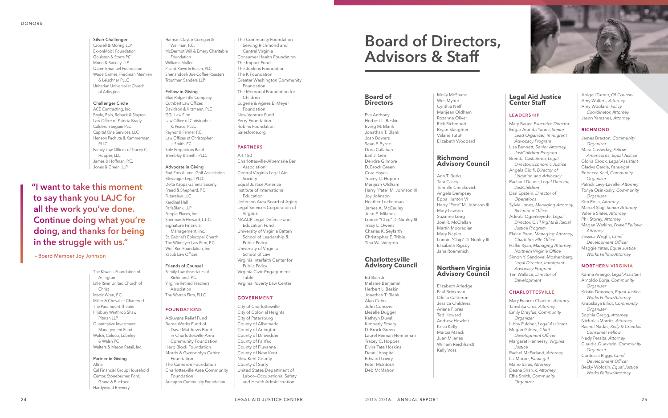## **Board of Directors, Advisors & Staff**

#### **Board of Directors**

Eva Anthony Herbert L. Beskin Irving M. Blank Jonathan T. Blank Josh Bowers Sean P. Byrne Dora Callahan Earl J. Gee Deirdre Gilmore D. Brock Green Cora Hayes Tracey C. Hopper Marijean Oldham Harry "Pete" M. Johnson III Joy Johnson Heather Lockerman James A. McCauley Juan E. Milanes Lonnie "Chip" D. Nunley III Tracy L. Owens Charles K. Seyfarth Christopher E. Trible Tina Washington

#### **Charlottesville Advisory Council**

Ed Bain Jr. Melanie Benjamin Herbert L. Beskin Jonathan T. Blank Alan Cohn John Conover Llezelle Dugger Kathryn Duvall Kimberly Emery D. Brock Green Laurel Reiman Henneman Tracey C. Hopper Elvira Tate Hoskins Dean Lhospital Edward Lowry Peter McIntosh Deb McMahon

#### Molly McShane Wes Myhre Cynthia Neff Marijean Oldham Rozanne Oliver Rick Richmond Bryan Slaughter Valarie Tutuh Elizabeth Woodard

#### **Richmond Advisory Council**

Ann T. Burks Tara Casey Tennille Checkovich Angela Dempsey Eppa Hunton VI Harry "Pete" M. Johnson III Mary Lawson Suzanne Long Joel R. McClellan Martin Mooradian Mary Napier Lonnie "Chip" D. Nunley III Elisabeth Rigsby Jana Roemmich

#### **Northern Virginia Advisory Council**

Elizabeth Arledge Paul Brinkman Ofelia Calderon Jessica Childress Ariana Flores Ted Howard Andrew Howlett Kristi Kelly Marcia Maack Juan Milanes William Reichhardt Kelly Voss

#### **Legal Aid Justice Center Staff**

# **LEADERSHIP** *JustChildren Operations Richmond Office Justice Program*



Mary Bauer, *Executive Director* Edgar Aranda-Yanoc, *Senior Lead Organizer, Immigrant Advocacy Program* Lisa Bennett, *Senior Attorney, JustChildren Program* Brenda Castañeda, *Legal Director, Economic Justice*  Angela Ciolfi, *Director of Litigation and Advocacy* Rachael Deane, *Legal Director,*  Dan Epstein, *Director of*  Sylvia Jones, *Managing Attorney,*  Adeola Ogunkeyede, *Legal Director, Civil Rights & Racial*  Elaine Poon, *Managing Attorney, Charlottesville Office* Hallie Ryan, *Managing Attorney, Northern Virginia Office* Simon Y. Sandoval-Moshenberg, *Legal Director, Immigrant* 

*Advocacy Program* Tim Wallace, *Director of Development* **CHARLOTTESVILLE** Mary Frances Charlton, *Attorney* Tanishka Cruz, *Attorney* Emily Dreyfus, *Community Organizer* Libby Fulcher, *Legal Assistant* Megan Gildea, C*hief Development Officer* Margaret Hennessy, *Virginia Justice* Rachel McFarland, *Attorney* Liz Moore, *Paralegal* Mario Salas, *Attorney* Deana Sharuk, *Attorney* Effie Smith, *Community Organizer*

Abigail Turner, *Of Counsel* Amy Walters, *Attorney* Amy Woolard, *Policy Coordinator, Attorney* Jason Yarashes, *Attorney*

#### **RICHMOND**

James Braxton, *Community Organizer* Mara Casseday, *Fellow, Americorps, Equal Justice* Gloria Crook, *Legal Assistant* Gladys Garcia, *Paralegal* Rebecca Keel, *Community Organizer* Patrick Levy-Lavelle, *Attorney* Tonya Osinkosky, *Community Organizer* Kim Rolla, *Attorney* Marcel Slag, *Senior Attorney* Valerie Slater, *Attorney* Phil Storey, *Attorney* Megan Watkins, *Powell Fellow/ Attorney* Jessica Wright, *Chief Development Officer* Maggie Yates, *Equal Justice Works Fellow/Attorney*

#### **NORTHERN VIRGINIA**

 $Art 180$ Charlottesville-Albemarle Bar Association Central Virginia Legal Aid Society Equal Justice America Institute of International Education Jefferson Area Board of Aging Legal Services Corporation of Virginia NAACP Legal Defense and Education Fund University of Virginia Batten School of Leadership & Public Policy University of Virginia School of Law Virginia Interfaith Center for Public Policy Virginia Civic Engagement Table Virginia Poverty Law Center

Karina Arango, *Legal Assistant* Arnoldo Borja, *Community Organizer* Kristin Donovan, *Equal Justice Works Fellow/Attorney* Krupskaya Elliot, *Community Organizer* Sophia Gregg, *Attorney* Nicholas Marritz, *Attorney* Rachel Nadas, *Kelly & Crandall Consumer Fellow* Nady Peralta, *Attorney* Claudia Quevedo, *Community Organizer* Contessa Riggs, *Chief Development Officer* Becky Wolozin, *Equal Justice* 

#### **Silver Challenger** Crowell & Moring LLP

ExxonMobil Foundation Goulston & Storrs PC Morin & Barkley LLP Quinn Emanuel Foundation Wade Grimes Friedman Meinken & Leischner PLLC Unitarian Universalist Church of Arlington

#### **Challenger Circle**

ACE Contracting, Inc. Boyle, Bain, Reback & Slayton Law Office of Patricia Brady Calderon Seguin PLC Capital One Services, LLC Henson Pachuta & Kammerman, PLIC Family Law Offices of Tracey C. Hopper, LLC James & Hoffman, P.C. Jones & Green, LLP

The Kiwanis Foundation of Arlington Litle River United Church of Christ MartinWren, P.C. Miller & Chevalier Chartered The Paramount Theater Pillsbury Winthrop Shaw Pitman LLP Quantitative Investment Management Fund Walsh, Colucci, Lubeley & Walsh PC Walters & Mason Retail, Inc. **Partner in Giving** Altria

Cal Financial Group Household Cantor, Stoneburner, Ford, Grana & Buckner Hardywood Brewery

Harman Claytor Corrigan & Wellman, P.C. McDermot Will & Emery Charitable Foundation Williams Mullen Picard Rowe & Rosen, PLC Shenandoah Joe Coffee Roasters Troutman Sanders LLP

#### **Fellow in Giving**

Blue Ridge Title Company Cuthbert Law Offices Davidson & Kitzmann, PLC GGL Law Firm Law Office of Christopher K. Peace, PLLC Raynor & Farmer P.C. Law Offices of Christopher J. Smith, PC Sole Proprietors Band Tremblay & Smith, PLLC

#### **Advocate in Giving**

Bad Ems Alumni Golf Association Blessinger Legal PLLC Delta Kappa Gamma Society Freed & Shepherd, P.C. Futurelaw, LLC Kardinal Hall ParisBlank, LLP People Places, Inc. Sherman & Howard, L.L.C. Signature Financial Management, Inc. St. Gabriel's Episcopal Church The Witmeyer Law Firm, P.C. Wolf Run Foundation, Inc Yacub Law Offices

#### **Friends of Counsel**

Family Law Associates of Richmond, P.C. Virginia Retired Teachers Association The Warren Firm, PLLC

#### **FOUNDATIONS**

Adiuvans Relief Fund Bama Works Fund of Dave Matthews Band in Charlottesville Area Community Foundation Herb Block Foundation Morris & Gwendolyn Cafritz Foundation The Cameron Foundation Charlottesville Area Community Foundation Arlington Community Foundation

The Community Foundation Serving Richmond and Central Virginia Consumer Health Foundation The Impact Fund The Jenkins Foundation The K Foundation Greater Washington Community Foundation The Memorial Foundation for Children Eugene & Agnes E. Meyer Foundation New Venture Fund Perry Foundation Robins Foundation Salesforce.org

#### **PARTNERS**

#### **GOVERNMENT**

City of Charlottesville City of Colonial Heights City of Petersburg County of Albemarle County of Arlington County of Dinwiddie County of Fairfax County of Fluvanna County of New Kent New Kent County County of Surry United States Department of Labor—Occupational Safety and Health Administration

**"I want to take this moment to say thank you LAJC for all the work you've done. Continue doing what you're doing, and thanks for being in the struggle with us."**

– Board Member Joy Johnson